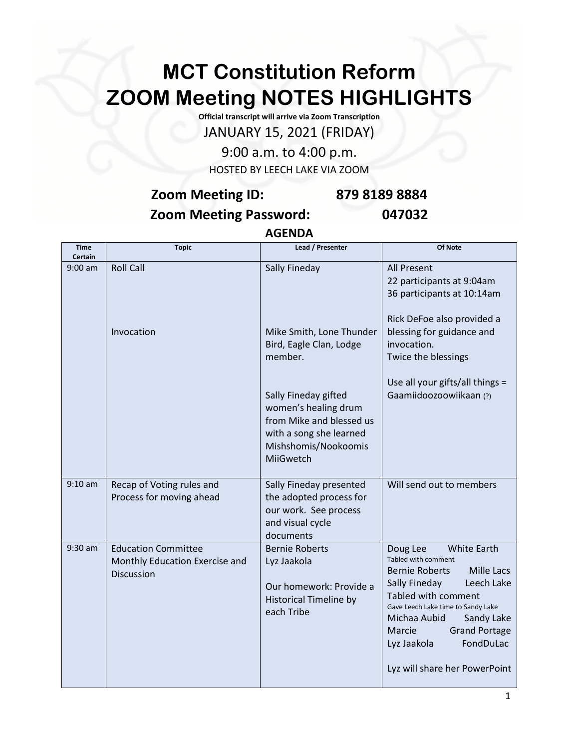## **MCT Constitution Reform ZOOM Meeting NOTES HIGHLIGHTS**

**Official transcript will arrive via Zoom Transcription** JANUARY 15, 2021 (FRIDAY)

9:00 a.m. to 4:00 p.m. HOSTED BY LEECH LAKE VIA ZOOM

## **Zoom Meeting ID: 879 8189 8884 Zoom Meeting Password: 047032**

**AGENDA**

| <b>Time</b><br>Certain | <b>Topic</b>                                                               | Lead / Presenter                                                                                                                         | Of Note                                                                                                                                                                                                                                                                                                                      |
|------------------------|----------------------------------------------------------------------------|------------------------------------------------------------------------------------------------------------------------------------------|------------------------------------------------------------------------------------------------------------------------------------------------------------------------------------------------------------------------------------------------------------------------------------------------------------------------------|
| $9:00$ am              | <b>Roll Call</b>                                                           | Sally Fineday                                                                                                                            | <b>All Present</b><br>22 participants at 9:04am<br>36 participants at 10:14am                                                                                                                                                                                                                                                |
|                        | Invocation                                                                 | Mike Smith, Lone Thunder<br>Bird, Eagle Clan, Lodge<br>member.                                                                           | Rick DeFoe also provided a<br>blessing for guidance and<br>invocation.<br>Twice the blessings                                                                                                                                                                                                                                |
|                        |                                                                            | Sally Fineday gifted<br>women's healing drum<br>from Mike and blessed us<br>with a song she learned<br>Mishshomis/Nookoomis<br>MiiGwetch | Use all your gifts/all things =<br>Gaamiidoozoowiikaan (?)                                                                                                                                                                                                                                                                   |
| $9:10$ am              | Recap of Voting rules and<br>Process for moving ahead                      | Sally Fineday presented<br>the adopted process for<br>our work. See process<br>and visual cycle<br>documents                             | Will send out to members                                                                                                                                                                                                                                                                                                     |
| $9:30$ am              | <b>Education Committee</b><br>Monthly Education Exercise and<br>Discussion | <b>Bernie Roberts</b><br>Lyz Jaakola<br>Our homework: Provide a<br><b>Historical Timeline by</b><br>each Tribe                           | <b>White Earth</b><br>Doug Lee<br>Tabled with comment<br>Mille Lacs<br><b>Bernie Roberts</b><br>Sally Fineday<br>Leech Lake<br>Tabled with comment<br>Gave Leech Lake time to Sandy Lake<br>Michaa Aubid<br>Sandy Lake<br><b>Grand Portage</b><br><b>Marcie</b><br>FondDuLac<br>Lyz Jaakola<br>Lyz will share her PowerPoint |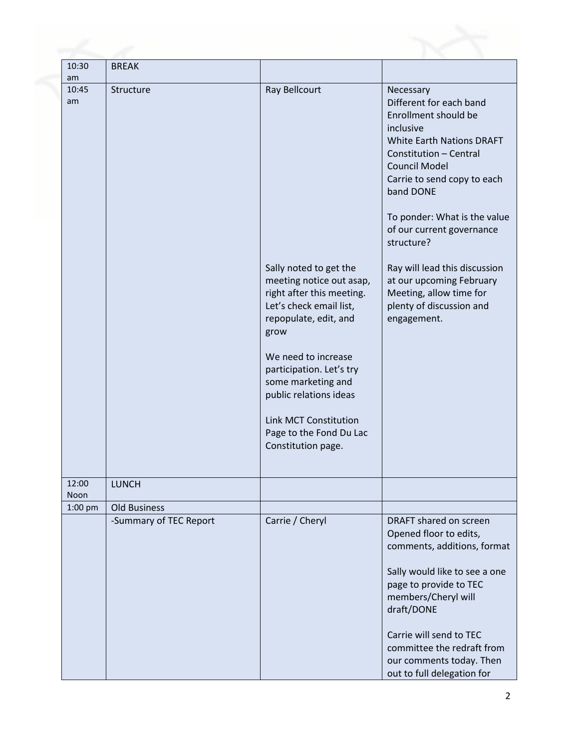| 10:30<br>am   | <b>BREAK</b>           |                                                                                                                                                                                                                                                                                                                                 |                                                                                                                                                                                                                                                                                                    |
|---------------|------------------------|---------------------------------------------------------------------------------------------------------------------------------------------------------------------------------------------------------------------------------------------------------------------------------------------------------------------------------|----------------------------------------------------------------------------------------------------------------------------------------------------------------------------------------------------------------------------------------------------------------------------------------------------|
| 10:45<br>am   | Structure              | Ray Bellcourt                                                                                                                                                                                                                                                                                                                   | Necessary<br>Different for each band<br>Enrollment should be<br>inclusive<br><b>White Earth Nations DRAFT</b><br>Constitution - Central<br>Council Model<br>Carrie to send copy to each<br>band DONE<br>To ponder: What is the value<br>of our current governance<br>structure?                    |
|               |                        | Sally noted to get the<br>meeting notice out asap,<br>right after this meeting.<br>Let's check email list,<br>repopulate, edit, and<br>grow<br>We need to increase<br>participation. Let's try<br>some marketing and<br>public relations ideas<br><b>Link MCT Constitution</b><br>Page to the Fond Du Lac<br>Constitution page. | Ray will lead this discussion<br>at our upcoming February<br>Meeting, allow time for<br>plenty of discussion and<br>engagement.                                                                                                                                                                    |
| 12:00<br>Noon | <b>LUNCH</b>           |                                                                                                                                                                                                                                                                                                                                 |                                                                                                                                                                                                                                                                                                    |
| $1:00$ pm     | <b>Old Business</b>    |                                                                                                                                                                                                                                                                                                                                 |                                                                                                                                                                                                                                                                                                    |
|               | -Summary of TEC Report | Carrie / Cheryl                                                                                                                                                                                                                                                                                                                 | DRAFT shared on screen<br>Opened floor to edits,<br>comments, additions, format<br>Sally would like to see a one<br>page to provide to TEC<br>members/Cheryl will<br>draft/DONE<br>Carrie will send to TEC<br>committee the redraft from<br>our comments today. Then<br>out to full delegation for |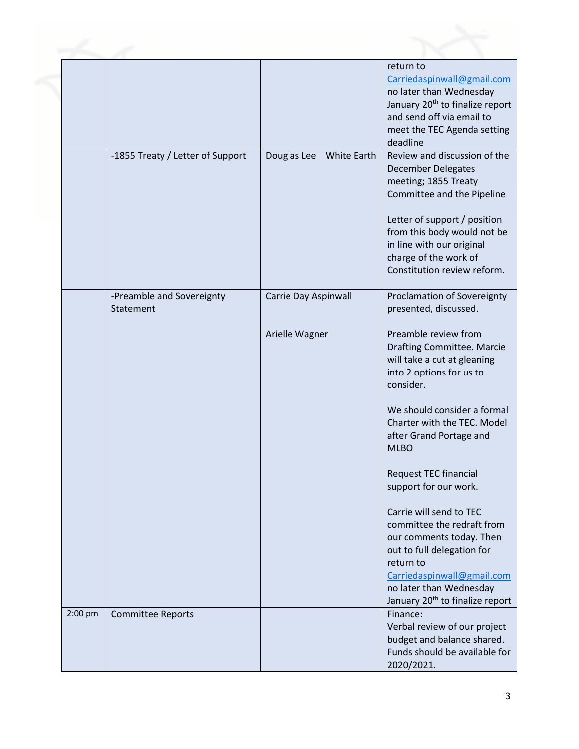|         |                                        |                            | return to<br>Carriedaspinwall@gmail.com<br>no later than Wednesday<br>January 20 <sup>th</sup> to finalize report<br>and send off via email to<br>meet the TEC Agenda setting<br>deadline                                                                                                                                                                                                                                                          |
|---------|----------------------------------------|----------------------------|----------------------------------------------------------------------------------------------------------------------------------------------------------------------------------------------------------------------------------------------------------------------------------------------------------------------------------------------------------------------------------------------------------------------------------------------------|
|         | -1855 Treaty / Letter of Support       | Douglas Lee<br>White Earth | Review and discussion of the<br><b>December Delegates</b><br>meeting; 1855 Treaty<br>Committee and the Pipeline<br>Letter of support / position<br>from this body would not be<br>in line with our original<br>charge of the work of<br>Constitution review reform.                                                                                                                                                                                |
|         |                                        |                            |                                                                                                                                                                                                                                                                                                                                                                                                                                                    |
|         | -Preamble and Sovereignty<br>Statement | Carrie Day Aspinwall       | Proclamation of Sovereignty<br>presented, discussed.                                                                                                                                                                                                                                                                                                                                                                                               |
|         |                                        | Arielle Wagner             | Preamble review from<br>Drafting Committee. Marcie<br>will take a cut at gleaning<br>into 2 options for us to<br>consider.<br>We should consider a formal<br>Charter with the TEC. Model<br>after Grand Portage and<br><b>MLBO</b><br>Request TEC financial<br>support for our work.<br>Carrie will send to TEC<br>committee the redraft from<br>our comments today. Then<br>out to full delegation for<br>return to<br>Carriedaspinwall@gmail.com |
|         |                                        |                            | no later than Wednesday<br>January 20 <sup>th</sup> to finalize report                                                                                                                                                                                                                                                                                                                                                                             |
| 2:00 pm | <b>Committee Reports</b>               |                            | Finance:<br>Verbal review of our project<br>budget and balance shared.<br>Funds should be available for<br>2020/2021.                                                                                                                                                                                                                                                                                                                              |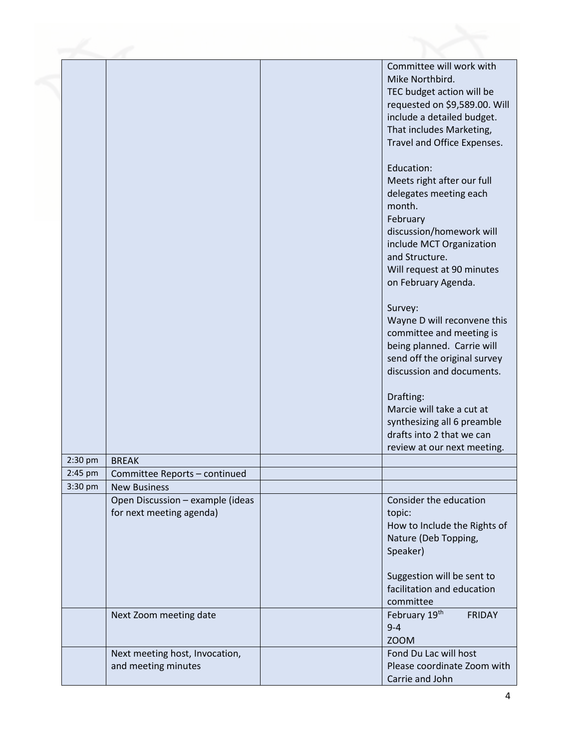|         |                                                              | Committee will work with<br>Mike Northbird.<br>TEC budget action will be<br>requested on \$9,589.00. Will<br>include a detailed budget.<br>That includes Marketing,<br>Travel and Office Expenses.<br>Education:<br>Meets right after our full<br>delegates meeting each<br>month.<br>February<br>discussion/homework will<br>include MCT Organization<br>and Structure.<br>Will request at 90 minutes<br>on February Agenda.<br>Survey:<br>Wayne D will reconvene this<br>committee and meeting is<br>being planned. Carrie will<br>send off the original survey<br>discussion and documents. |
|---------|--------------------------------------------------------------|------------------------------------------------------------------------------------------------------------------------------------------------------------------------------------------------------------------------------------------------------------------------------------------------------------------------------------------------------------------------------------------------------------------------------------------------------------------------------------------------------------------------------------------------------------------------------------------------|
|         |                                                              | Drafting:<br>Marcie will take a cut at<br>synthesizing all 6 preamble<br>drafts into 2 that we can<br>review at our next meeting.                                                                                                                                                                                                                                                                                                                                                                                                                                                              |
| 2:30 pm | <b>BREAK</b>                                                 |                                                                                                                                                                                                                                                                                                                                                                                                                                                                                                                                                                                                |
| 2:45 pm | Committee Reports - continued                                |                                                                                                                                                                                                                                                                                                                                                                                                                                                                                                                                                                                                |
| 3:30 pm | <b>New Business</b>                                          |                                                                                                                                                                                                                                                                                                                                                                                                                                                                                                                                                                                                |
|         | Open Discussion - example (ideas<br>for next meeting agenda) | Consider the education<br>topic:<br>How to Include the Rights of<br>Nature (Deb Topping,<br>Speaker)                                                                                                                                                                                                                                                                                                                                                                                                                                                                                           |
|         |                                                              | Suggestion will be sent to<br>facilitation and education<br>committee                                                                                                                                                                                                                                                                                                                                                                                                                                                                                                                          |
|         | Next Zoom meeting date                                       | February 19th<br><b>FRIDAY</b><br>$9 - 4$<br><b>ZOOM</b>                                                                                                                                                                                                                                                                                                                                                                                                                                                                                                                                       |
|         | Next meeting host, Invocation,<br>and meeting minutes        | Fond Du Lac will host<br>Please coordinate Zoom with<br>Carrie and John                                                                                                                                                                                                                                                                                                                                                                                                                                                                                                                        |